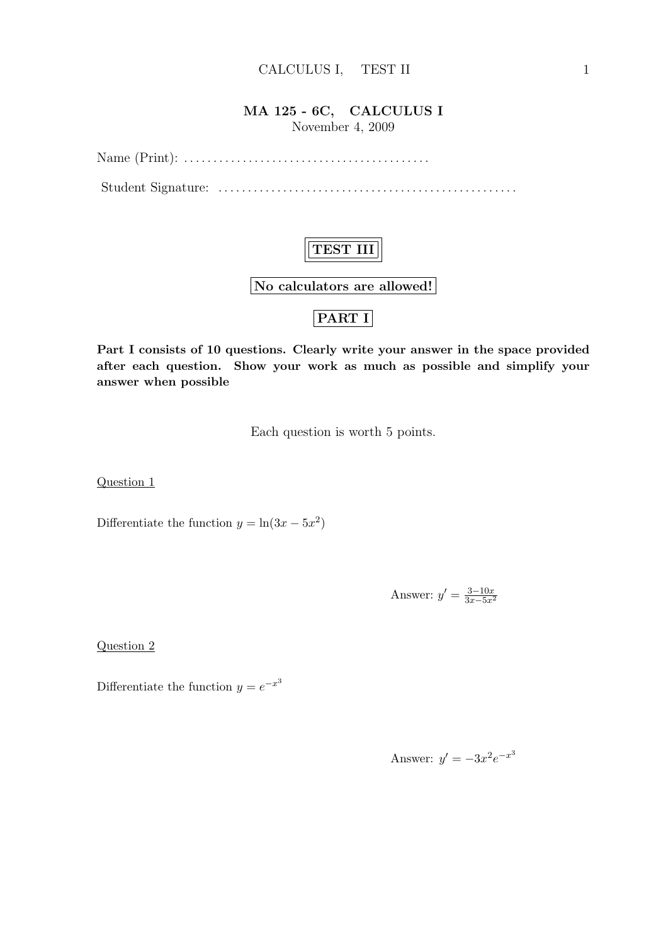### MA 125 - 6C, CALCULUS I November 4, 2009

Name (Print): . . . . . . . . . . . . . . . . . . . . . . . . . . . . . . . . . . . . . . . . . .

Student Signature: . . . . . . . . . . . . . . . . . . . . . . . . . . . . . . . . . . . . . . . . . . . . . . . . . . .

## TEST III

No calculators are allowed!

## PART I

Part I consists of 10 questions. Clearly write your answer in the space provided after each question. Show your work as much as possible and simplify your answer when possible

Each question is worth 5 points.

Question 1

Differentiate the function  $y = \ln(3x - 5x^2)$ 

Answer:  $y' = \frac{3-10x}{3x-5x^2}$ 

Question 2

Differentiate the function  $y = e^{-x^3}$ 

Answer:  $y' = -3x^2e^{-x^3}$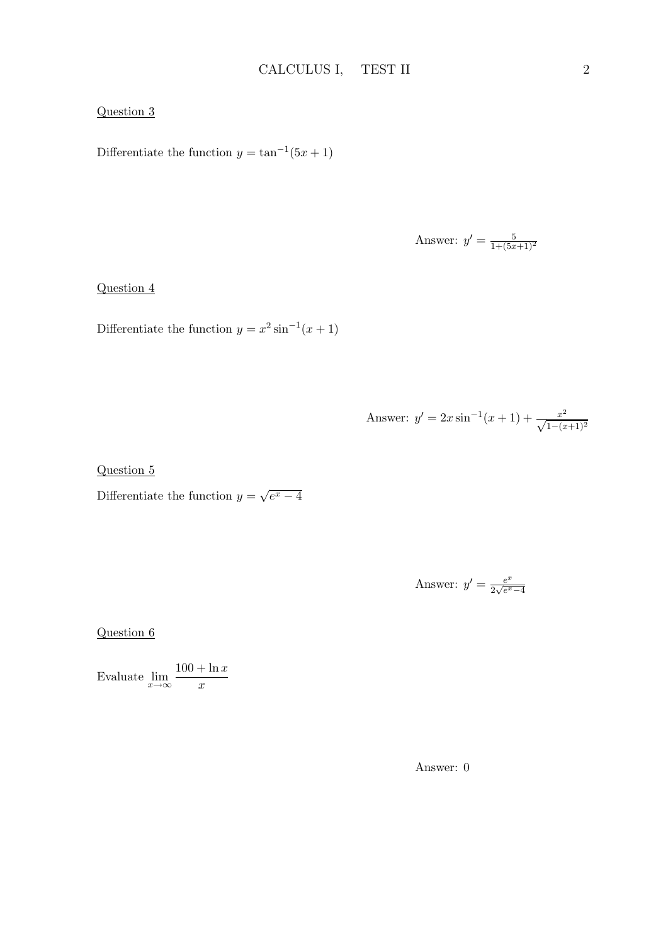#### Question 3

Differentiate the function  $y = \tan^{-1}(5x + 1)$ 

Answer: 
$$
y' = \frac{5}{1 + (5x + 1)^2}
$$

Question 4

Differentiate the function  $y = x^2 \sin^{-1}(x+1)$ 

Answer: 
$$
y' = 2x \sin^{-1}(x+1) + \frac{x^2}{\sqrt{1-(x+1)^2}}
$$

Question 5

Differentiate the function  $y =$ √  $\overline{e^x-4}$ 

Answer: 
$$
y' = \frac{e^x}{2\sqrt{e^x - 4}}
$$

Question 6

Evaluate  $\lim_{x \to \infty} \frac{100 + \ln x}{x}$  $\overline{x}$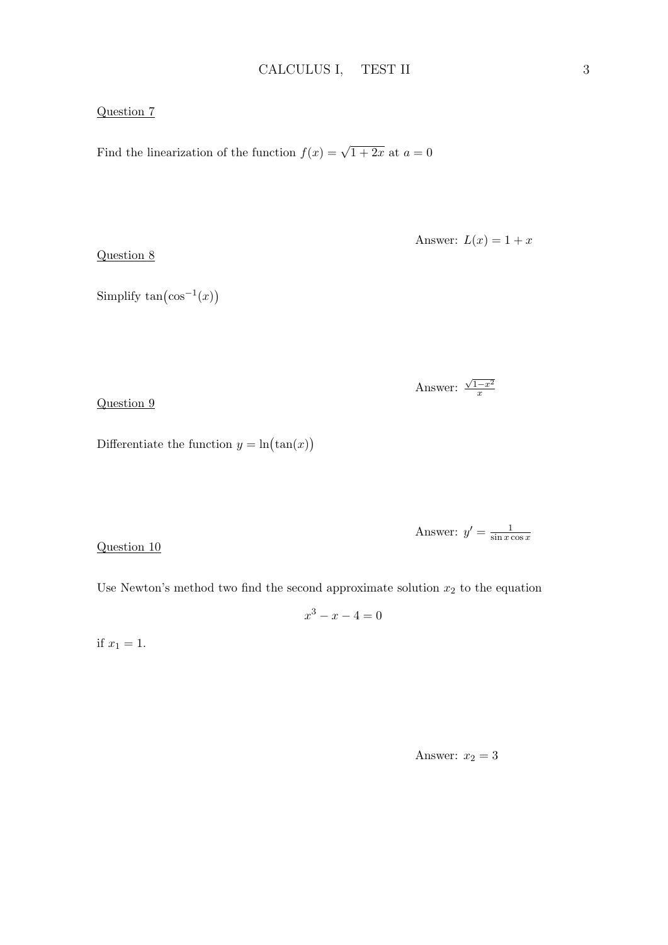#### Question 7

Find the linearization of the function  $f(x) = \sqrt{1+2x}$  at  $a = 0$ 

Question 8

Answer:  $L(x) = 1 + x$ 

Simplify  $tan(cos^{-1}(x))$ 

Answer:  $\sqrt{1-x^2}$  $\overline{x}$ 

Question 9

Differentiate the function  $y = \ln(\tan(x))$ 

Answer:  $y' = \frac{1}{\sin x}$  $\sin x \cos x$ 

Question 10

Use Newton's method two find the second approximate solution  $x_2$  to the equation

$$
x^3 - x - 4 = 0
$$

if  $x_1 = 1$ .

Answer:  $x_2 = 3$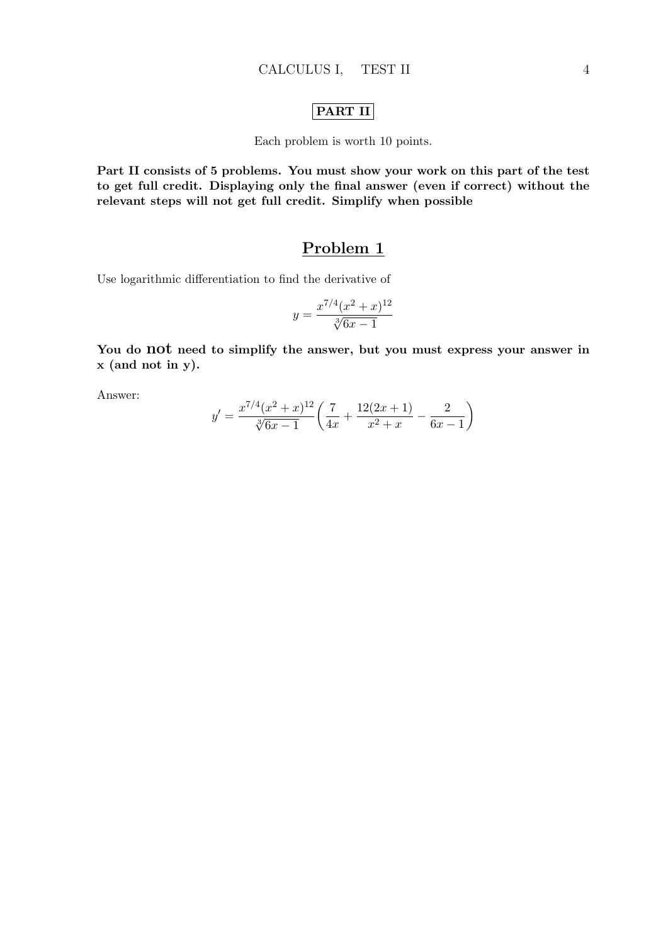### PART II

Each problem is worth 10 points.

Part II consists of 5 problems. You must show your work on this part of the test to get full credit. Displaying only the final answer (even if correct) without the relevant steps will not get full credit. Simplify when possible

### Problem 1

Use logarithmic differentiation to find the derivative of

$$
y = \frac{x^{7/4}(x^2+x)^{12}}{\sqrt[3]{6x-1}}
$$

You do not need to simplify the answer, but you must express your answer in x (and not in y).

Answer:

$$
y' = \frac{x^{7/4}(x^2+x)^{12}}{\sqrt[3]{6x-1}} \left( \frac{7}{4x} + \frac{12(2x+1)}{x^2+x} - \frac{2}{6x-1} \right)
$$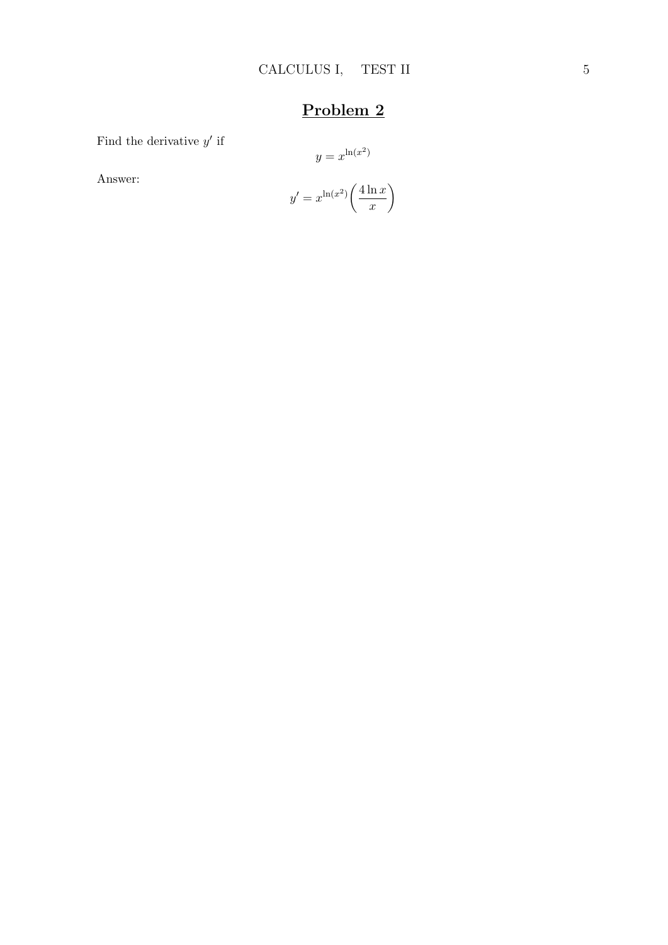Find the derivative  $y'$  if

$$
y = x^{\ln(x^2)}
$$

Answer:

$$
y' = x^{\ln(x^2)} \left( \frac{4 \ln x}{x} \right)
$$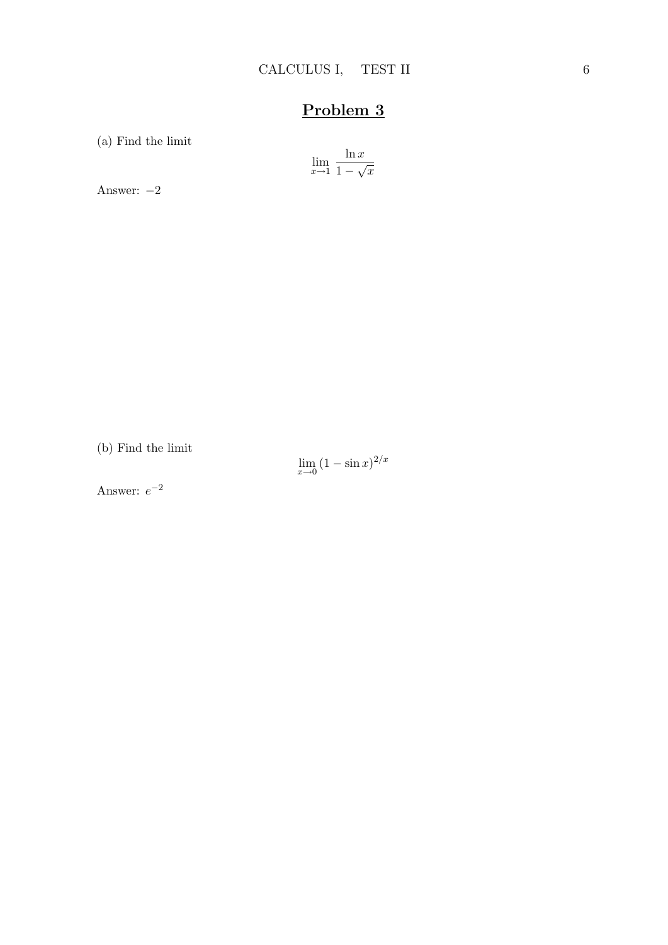(a) Find the limit

$$
\lim_{x \to 1} \frac{\ln x}{1 - \sqrt{x}}
$$

Answer: −2

(b) Find the limit

 $\lim_{x\to 0} (1 - \sin x)^{2/x}$ 

Answer:  $e^{-2}$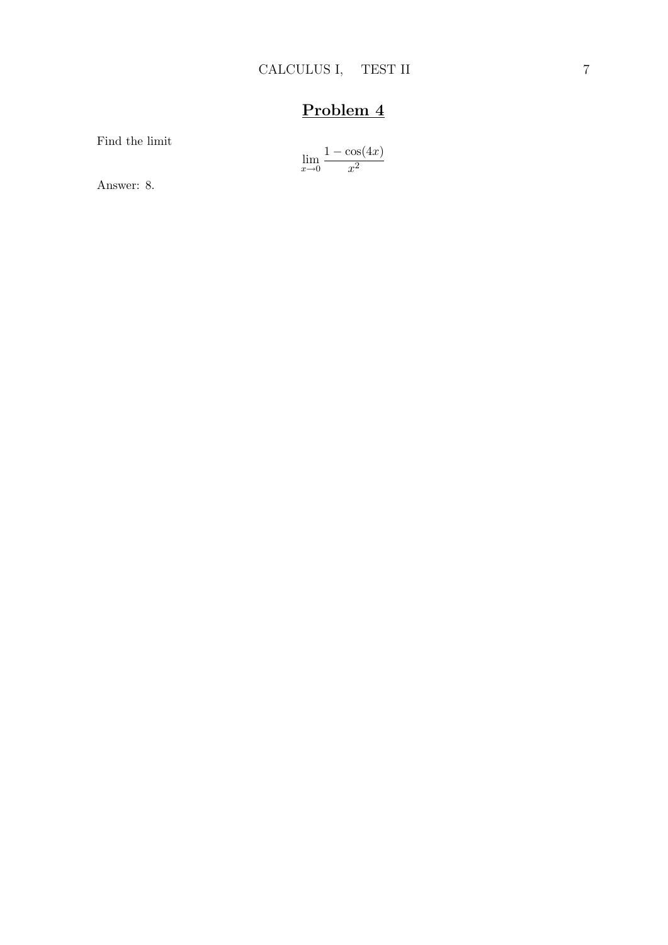Find the limit

$$
\lim_{x \to 0} \frac{1 - \cos(4x)}{x^2}
$$

Answer: 8.